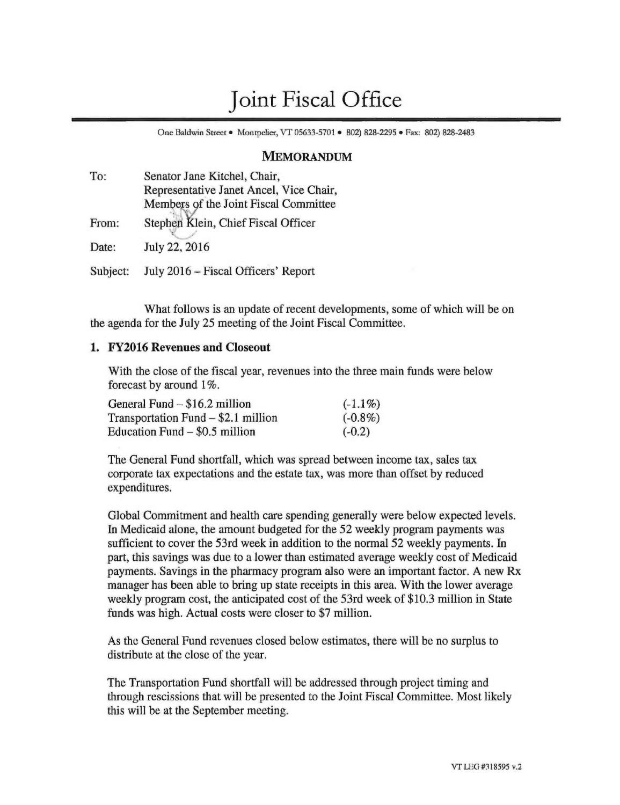# Joint Fiscal Office

One Baldwin Street • Montpelier, VT 05633-5701 • 802) 828-2295 • Fax: 802) 828-2483

## MEMORANDUM

| To:      | Senator Jane Kitchel, Chair,            |
|----------|-----------------------------------------|
|          | Representative Janet Ancel, Vice Chair, |
|          | Members of the Joint Fiscal Committee   |
| From:    | Stephen Klein, Chief Fiscal Officer     |
| Date:    | July 22, 2016                           |
| Subject: | July 2016 - Fiscal Officers' Report     |

What follows is an update of recent developments, some of which will be on the agenda for the July 25 meeting of the Joint Fiscal Committee.

## **1. FY2016 Revenues and Closeout**

With the close of the fiscal year, revenues into the three main funds were below forecast by around 1%.

| General Fund – \$16.2 million       | $(-1.1\%)$ |
|-------------------------------------|------------|
| Transportation Fund – \$2.1 million | $(-0.8\%)$ |
| Education Fund $-$ \$0.5 million    | $(-0.2)$   |

The General Fund shortfall, which was spread between income tax, sales tax corporate tax expectations and the estate tax, was more than offset by reduced expenditures.

Global Commitment and health care spending generally were below expected levels. In Medicaid alone, the amount budgeted for the 52 weekly program payments was sufficient to cover the 53rd week in addition to the normal 52 weekly payments. In part, this savings was due to a lower than estimated average weekly cost of Medicaid payments. Savings in the pharmacy program also were an important factor. A new Rx manager has been able to bring up state receipts in this area. With the lower average weekly program cost, the anticipated cost of the 53rd week of \$10.3 million in State funds was high. Actual costs were closer to \$7 million.

As the General Fund revenues closed below estimates, there will be no surplus to distribute at the close of the year.

The Transportation Fund shortfall will be addressed through project timing and through rescissions that will be presented to the Joint Fiscal Committee. Most likely this will be at the September meeting.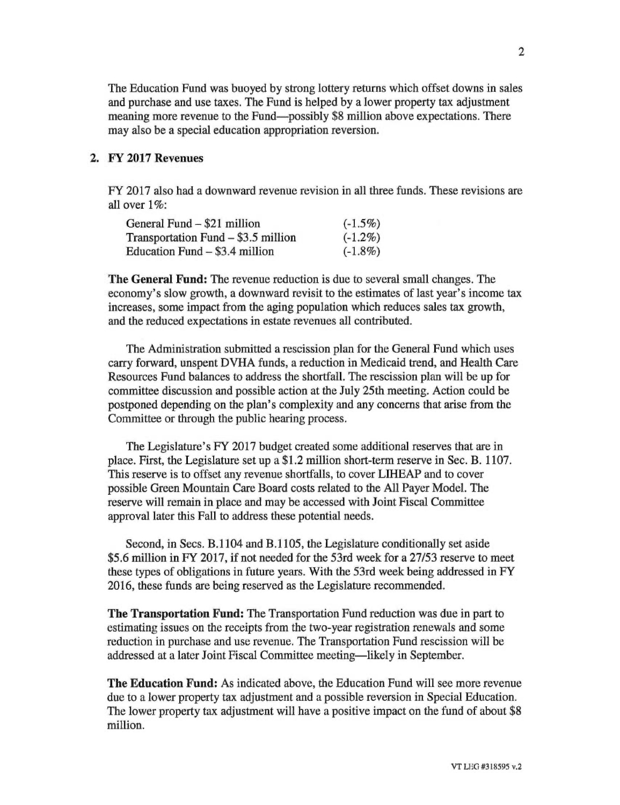The Education Fund was buoyed by strong lottery returns which offset downs in sales and purchase and use taxes. The Fund is helped by a lower property tax adjustment meaning more revenue to the Fund—possibly \$8 million above expectations. There may also be a special education appropriation reversion.

# 2. FY 2017 Revenues

FY 2017 also had a downward revenue revision in all three funds. These revisions are all over 1%:

| General Fund – \$21 million         | $(-1.5\%)$ |
|-------------------------------------|------------|
| Transportation Fund – \$3.5 million | $(-1.2\%)$ |
| Education Fund $-$ \$3.4 million    | $(-1.8\%)$ |

The **General Fund:** The revenue reduction is due to several small changes. The economy's slow growth, a downward revisit to the estimates of last year's income tax increases, some impact from the aging population which reduces sales tax growth, and the reduced expectations in estate revenues all contributed.

The Administration submitted a rescission plan for the General Fund which uses carry forward, unspent DVHA funds, a reduction in Medicaid trend, and Health Care Resources Fund balances to address the shortfall. The rescission plan will be up for committee discussion and possible action at the July 25th meeting. Action could be postponed depending on the plan's complexity and any concerns that arise from the Committee or through the public hearing process.

The Legislature's FY 2017 budget created some additional reserves that are in place. First, the Legislature set up a \$1.2 million short-term reserve in Sec. B. 1107. This reserve is to offset any revenue shortfalls, to cover LIHEAP and to cover possible Green Mountain Care Board costs related to the All Payer Model. The reserve will remain in place and may be accessed with Joint Fiscal Committee approval later this Fall to address these potential needs.

Second, in Secs. B.1104 and B.1105, the Legislature conditionally set aside \$5.6 million in FY 2017, if not needed for the 53rd week for a 27/53 reserve to meet these types of obligations in future years. With the 53rd week being addressed in FY 2016, these funds are being reserved as the Legislature recommended.

**The Transportation Fund:** The Transportation Fund reduction was due in part to estimating issues on the receipts from the two-year registration renewals and some reduction in purchase and use revenue. The Transportation Fund rescission will be addressed at a later Joint Fiscal Committee meeting—likely in September.

**The Education Fund:** As indicated above, the Education Fund will see more revenue due to a lower property tax adjustment and a possible reversion in Special Education. The lower property tax adjustment will have a positive impact on the fund of about \$8 million.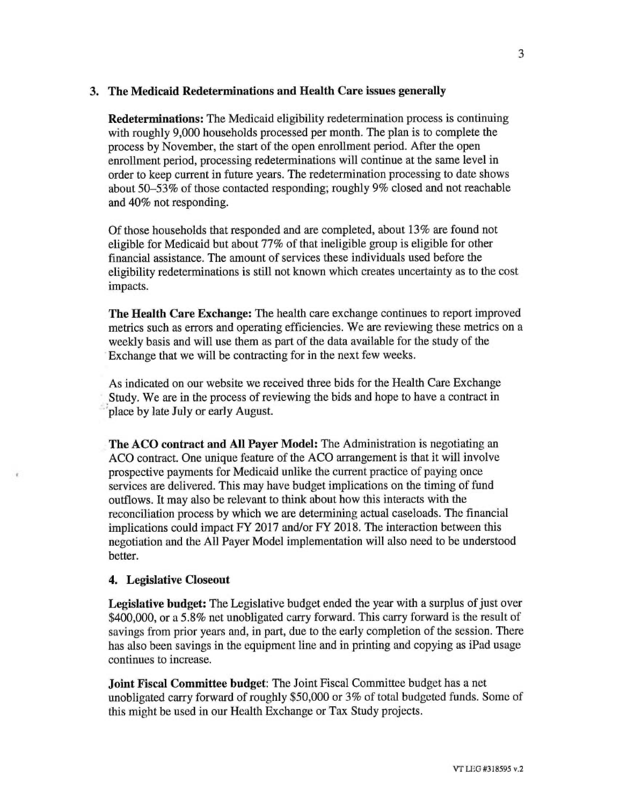## **3. The Medicaid Redeterminations and Health Care issues generally**

**Redeterminations:** The Medicaid eligibility redetermination process is continuing with roughly 9,000 households processed per month. The plan is to complete the process by November, the start of the open enrollment period. After the open enrollment period, processing redeterminations will continue at the same level in order to keep current in future years. The redetermination processing to date shows about 50-53% of those contacted responding; roughly 9% closed and not reachable and 40% not responding.

Of those households that responded and are completed, about 13% are found not eligible for Medicaid but about 77% of that ineligible group is eligible for other financial assistance. The amount of services these individuals used before the eligibility redeterminations is still not known which creates uncertainty as to the cost impacts.

**The Health Care Exchange:** The health care exchange continues to report improved metrics such as errors and operating efficiencies. We are reviewing these metrics on a weekly basis and will use them as part of the data available for the study of the Exchange that we will be contracting for in the next few weeks.

As indicated on our website we received three bids for the Health Care Exchange Study. We are in the process of reviewing the bids and hope to have a contract in 'place by late July or early August.

**The ACO contract and All Payer Model:** The Administration is negotiating an ACO contract. One unique feature of the ACO arrangement is that it will involve prospective payments for Medicaid unlike the current practice of paying once services are delivered. This may have budget implications on the timing of fund outflows. It may also be relevant to think about how this interacts with the reconciliation process by which we are determining actual caseloads. The financial implications could impact FY 2017 and/or FY 2018. The interaction between this negotiation and the All Payer Model implementation will also need to be understood better.

## **4. Legislative Closeout**

**Legislative budget:** The Legislative budget ended the year with a surplus of just over \$400,000, or a 5.8% net unobligated carry forward. This carry forward is the result of savings from prior years and, in part, due to the early completion of the session. There has also been savings in the equipment line and in printing and copying as iPad usage continues to increase.

**Joint Fiscal Committee budget:** The Joint Fiscal Committee budget has a net unobligated carry forward of roughly \$50,000 or 3% of total budgeted funds. Some of this might be used in our Health Exchange or Tax Study projects.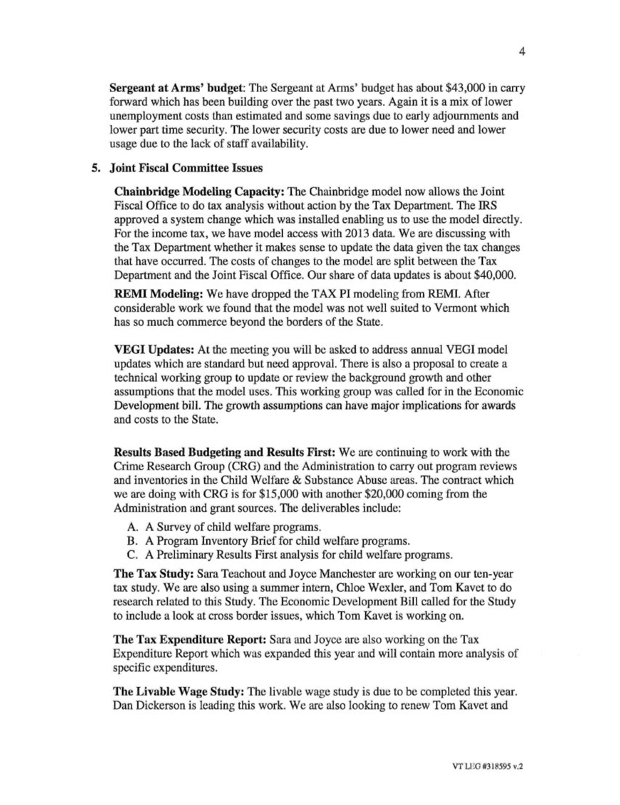**Sergeant at Arms' budget:** The Sergeant at Arms' budget has about \$43,000 in carry forward which has been building over the past two years. Again it is a mix of lower unemployment costs than estimated and some savings due to early adjournments and lower part time security. The lower security costs are due to lower need and lower usage due to the lack of staff availability.

#### **5. Joint Fiscal Committee Issues**

**Chainbridge Modeling Capacity:** The Chainbridge model now allows the Joint Fiscal Office to do tax analysis without action by the Tax Department. The IRS approved a system change which was installed enabling us to use the model directly. For the income tax, we have model access with 2013 data. We are discussing with the Tax Department whether it makes sense to update the data given the tax changes that have occurred. The costs of changes to the model are split between the Tax Department and the Joint Fiscal Office. Our share of data updates is about \$40,000.

**REM! Modeling:** We have dropped the TAX **PI** modeling from REMI. After considerable work we found that the model was not well suited to Vermont which has so much commerce beyond the borders of the State.

**VEGI Updates:** At the meeting you will be asked to address annual VEGI model updates which are standard but need approval. There is also a proposal to create a technical working group to update or review the background growth and other assumptions that the model uses. This working group was called for in the Economic Development bill. The growth assumptions can have major implications for awards and costs to the State.

**Results Based Budgeting and Results First:** We are continuing to work with the Crime Research Group (CRG) and the Administration to carry out program reviews and inventories in the Child Welfare & Substance Abuse areas. The contract which we are doing with CRG is for \$15,000 with another \$20,000 coming from the Administration and grant sources. The deliverables include:

- A. A Survey of child welfare programs.
- B. A Program Inventory Brief for child welfare programs.
- C. A Preliminary Results First analysis for child welfare programs.

**The Tax Study:** Sara Teachout and Joyce Manchester are working on our ten-year tax study. We are also using a summer intern, Chloe Wexler, and Tom Kavet to do research related to this Study. The Economic Development Bill called for the Study to include a look at cross border issues, which Tom Kavet is working on.

**The Tax Expenditure Report:** Sara and Joyce are also working on the Tax Expenditure Report which was expanded this year and will contain more analysis of specific expenditures.

**The Livable Wage Study:** The livable wage study is due to be completed this year. Dan Dickerson is leading this work. We are also looking to renew Tom Kavet and